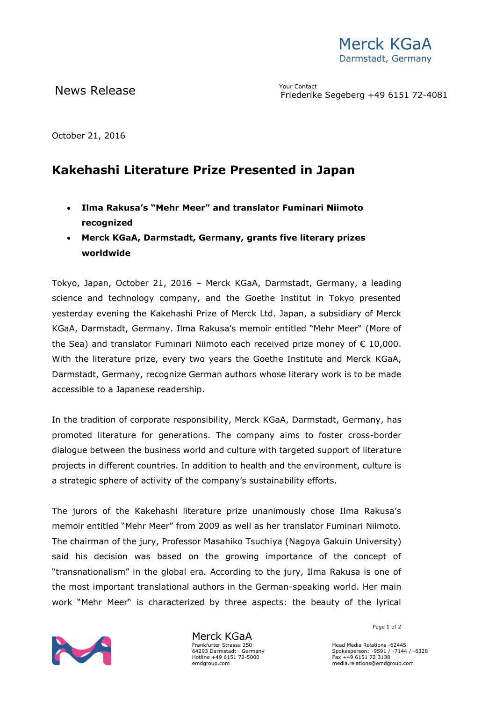## News Release The Meridian Meridian Meridian Property on the Meridian Meridian Meridian Meridian Meridian Meridi<br>This devil contact in the Contact of the Contact of the Contact of the Contact of the Contact of the Contact o

Friederike Segeberg +49 6151 72-4081

October 21, 2016

## **Kakehashi Literature Prize Presented in Japan**

- **Ilma Rakusa's "Mehr Meer" and translator Fuminari Niimoto recognized**
- **Merck KGaA, Darmstadt, Germany, grants five literary prizes worldwide**

Tokyo, Japan, October 21, 2016 – Merck KGaA, Darmstadt, Germany, a leading science and technology company, and the Goethe Institut in Tokyo presented yesterday evening the Kakehashi Prize of Merck Ltd. Japan, a subsidiary of Merck KGaA, Darmstadt, Germany. Ilma Rakusa's memoir entitled "Mehr Meer" (More of the Sea) and translator Fuminari Niimoto each received prize money of € 10,000. With the literature prize, every two years the Goethe Institute and Merck KGaA, Darmstadt, Germany, recognize German authors whose literary work is to be made accessible to a Japanese readership.

In the tradition of corporate responsibility, Merck KGaA, Darmstadt, Germany, has promoted literature for generations. The company aims to foster cross-border dialogue between the business world and culture with targeted support of literature projects in different countries. In addition to health and the environment, culture is a strategic sphere of activity of the company's sustainability efforts.

The jurors of the Kakehashi literature prize unanimously chose Ilma Rakusa's memoir entitled "Mehr Meer" from 2009 as well as her translator Fuminari Niimoto. The chairman of the jury, Professor Masahiko Tsuchiya (Nagoya Gakuin University) said his decision was based on the growing importance of the concept of "transnationalism" in the global era. According to the jury, Ilma Rakusa is one of the most important translational authors in the German-speaking world. Her main work "Mehr Meer" is characterized by three aspects: the beauty of the lyrical



Merck KGaA Frankfurter Strasse 250 64293 Darmstadt · Germany Hotline +49 6151 72-5000 emdgroup.com

Page 1 of 2

Head Media Relations -62445 Spokesperson: -9591 / -7144 / -6328 Fax +49 6151 72 3138 media.relations@emdgroup.com